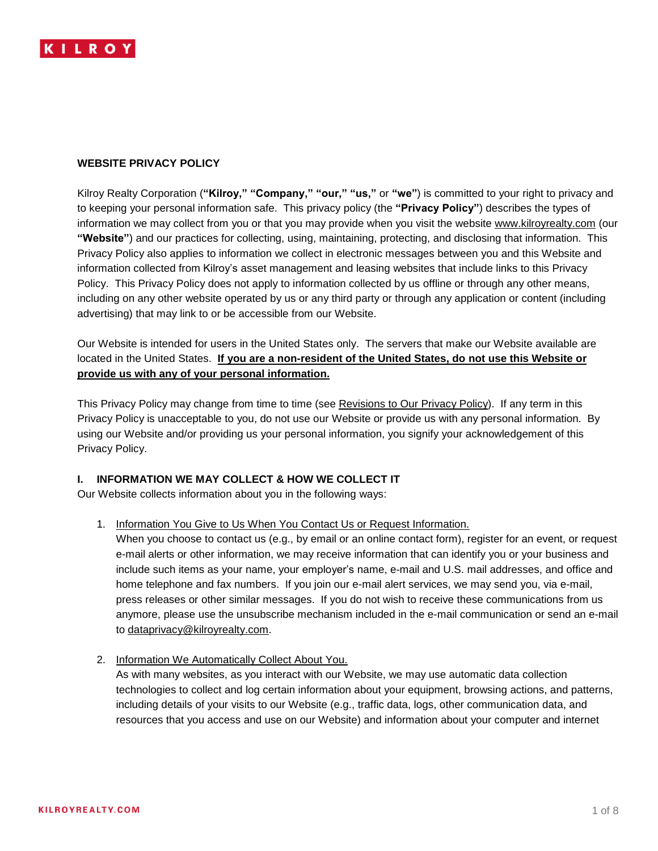

## **WEBSITE PRIVACY POLICY**

Kilroy Realty Corporation (**"Kilroy," "Company," "our," "us,"** or **"we"**) is committed to your right to privacy and to keeping your personal information safe. This privacy policy (the **"Privacy Policy"**) describes the types of information we may collect from you or that you may provide when you visit the website [www.kilroyrealty.com](http://www.kilroyrealty.com/) (our **"Website"**) and our practices for collecting, using, maintaining, protecting, and disclosing that information. This Privacy Policy also applies to information we collect in electronic messages between you and this Website and information collected from Kilroy's asset management and leasing websites that include links to this Privacy Policy. This Privacy Policy does not apply to information collected by us offline or through any other means, including on any other website operated by us or any third party or through any application or content (including advertising) that may link to or be accessible from our Website.

Our Website is intended for users in the United States only. The servers that make our Website available are located in the United States. **If you are a non-resident of the United States, do not use this Website or provide us with any of your personal information.**

This Privacy Policy may change from time to time (see Revisions to Our Privacy Policy). If any term in this Privacy Policy is unacceptable to you, do not use our Website or provide us with any personal information. By using our Website and/or providing us your personal information, you signify your acknowledgement of this Privacy Policy.

### **I. INFORMATION WE MAY COLLECT & HOW WE COLLECT IT**

Our Website collects information about you in the following ways:

1. Information You Give to Us When You Contact Us or Request Information.

When you choose to contact us (e.g., by email or an online contact form), register for an event, or request e-mail alerts or other information, we may receive information that can identify you or your business and include such items as your name, your employer's name, e-mail and U.S. mail addresses, and office and home telephone and fax numbers. If you join our e-mail alert services, we may send you, via e-mail, press releases or other similar messages. If you do not wish to receive these communications from us anymore, please use the unsubscribe mechanism included in the e-mail communication or send an e-mail to [dataprivacy@kilroyrealty.com.](mailto:dataprivacy@kilroyrealty.com)

2. Information We Automatically Collect About You.

As with many websites, as you interact with our Website, we may use automatic data collection technologies to collect and log certain information about your equipment, browsing actions, and patterns, including details of your visits to our Website (e.g., traffic data, logs, other communication data, and resources that you access and use on our Website) and information about your computer and internet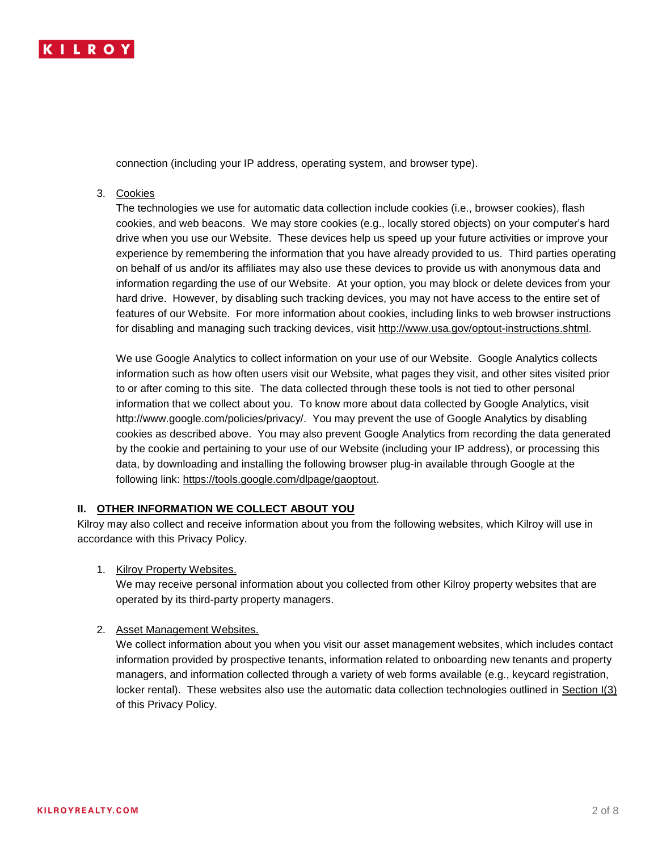

connection (including your IP address, operating system, and browser type).

# 3. Cookies

The technologies we use for automatic data collection include cookies (i.e., browser cookies), flash cookies, and web beacons. We may store cookies (e.g., locally stored objects) on your computer's hard drive when you use our Website. These devices help us speed up your future activities or improve your experience by remembering the information that you have already provided to us. Third parties operating on behalf of us and/or its affiliates may also use these devices to provide us with anonymous data and information regarding the use of our Website. At your option, you may block or delete devices from your hard drive. However, by disabling such tracking devices, you may not have access to the entire set of features of our Website. For more information about cookies, including links to web browser instructions for disabling and managing such tracking devices, visit [http://www.usa.gov/optout-instructions.shtml.](http://www.usa.gov/optout-instructions.shtml)

We use Google Analytics to collect information on your use of our Website. Google Analytics collects information such as how often users visit our Website, what pages they visit, and other sites visited prior to or after coming to this site. The data collected through these tools is not tied to other personal information that we collect about you. To know more about data collected by Google Analytics, visit http://www.google.com/policies/privacy/. You may prevent the use of Google Analytics by disabling cookies as described above. You may also prevent Google Analytics from recording the data generated by the cookie and pertaining to your use of our Website (including your IP address), or processing this data, by downloading and installing the following browser plug-in available through Google at the following link: [https://tools.google.com/dlpage/gaoptout.](https://tools.google.com/dlpage/gaoptout)

# **II. OTHER INFORMATION WE COLLECT ABOUT YOU**

Kilroy may also collect and receive information about you from the following websites, which Kilroy will use in accordance with this Privacy Policy.

1. Kilroy Property Websites.

We may receive personal information about you collected from other Kilroy property websites that are operated by its third-party property managers.

### 2. Asset Management Websites.

We collect information about you when you visit our asset management websites, which includes contact information provided by prospective tenants, information related to onboarding new tenants and property managers, and information collected through a variety of web forms available (e.g., keycard registration, locker rental). These websites also use the automatic data collection technologies outlined in Section I(3) of this Privacy Policy.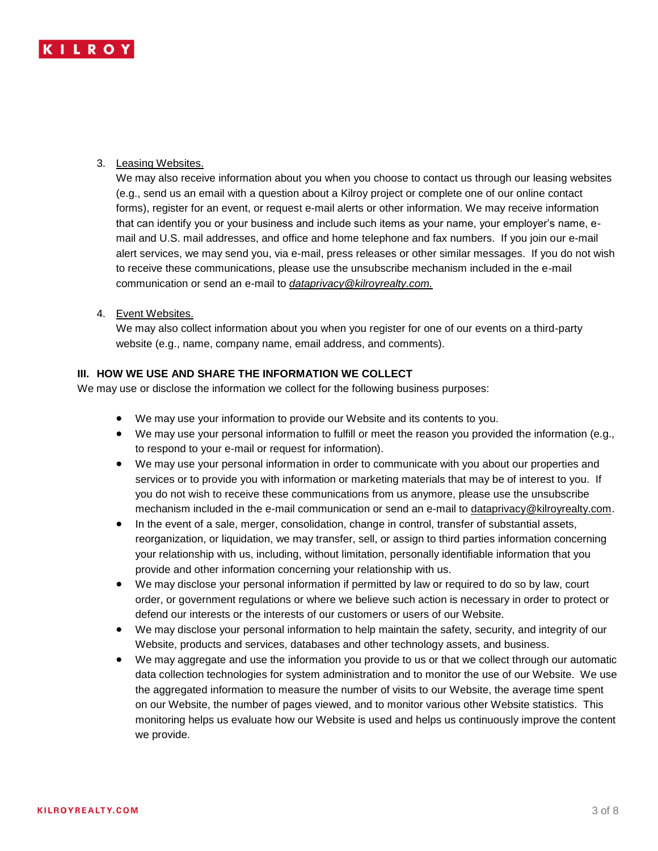

## 3. Leasing Websites.

We may also receive information about you when you choose to contact us through our leasing websites (e.g., send us an email with a question about a Kilroy project or complete one of our online contact forms), register for an event, or request e-mail alerts or other information. We may receive information that can identify you or your business and include such items as your name, your employer's name, email and U.S. mail addresses, and office and home telephone and fax numbers. If you join our e-mail alert services, we may send you, via e-mail, press releases or other similar messages. If you do not wish to receive these communications, please use the unsubscribe mechanism included in the e-mail communication or send an e-mail to *[dataprivacy@kilroyrealty.com.](mailto:dataprivacy@kilroyrealty.com)* 

### 4. Event Websites.

We may also collect information about you when you register for one of our events on a third-party website (e.g., name, company name, email address, and comments).

## **III. HOW WE USE AND SHARE THE INFORMATION WE COLLECT**

We may use or disclose the information we collect for the following business purposes:

- We may use your information to provide our Website and its contents to you.
- We may use your personal information to fulfill or meet the reason you provided the information (e.g., to respond to your e-mail or request for information).
- We may use your personal information in order to communicate with you about our properties and services or to provide you with information or marketing materials that may be of interest to you. If you do not wish to receive these communications from us anymore, please use the unsubscribe mechanism included in the e-mail communication or send an e-mail to [dataprivacy@kilroyrealty.com.](mailto:dataprivacy@kilroyrealty.com)
- In the event of a sale, merger, consolidation, change in control, transfer of substantial assets, reorganization, or liquidation, we may transfer, sell, or assign to third parties information concerning your relationship with us, including, without limitation, personally identifiable information that you provide and other information concerning your relationship with us.
- We may disclose your personal information if permitted by law or required to do so by law, court order, or government regulations or where we believe such action is necessary in order to protect or defend our interests or the interests of our customers or users of our Website.
- We may disclose your personal information to help maintain the safety, security, and integrity of our Website, products and services, databases and other technology assets, and business.
- We may aggregate and use the information you provide to us or that we collect through our automatic data collection technologies for system administration and to monitor the use of our Website. We use the aggregated information to measure the number of visits to our Website, the average time spent on our Website, the number of pages viewed, and to monitor various other Website statistics. This monitoring helps us evaluate how our Website is used and helps us continuously improve the content we provide.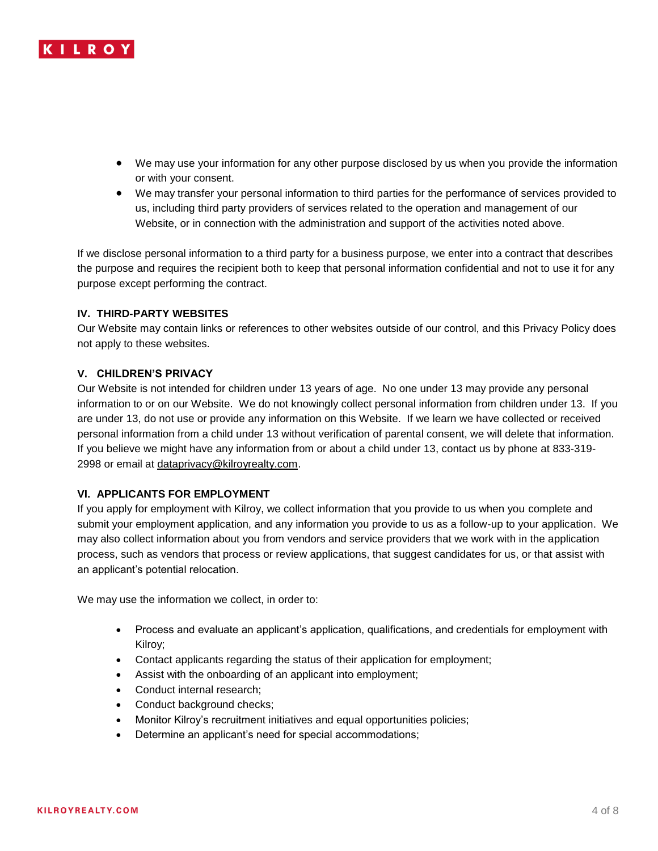

- We may use your information for any other purpose disclosed by us when you provide the information or with your consent.
- We may transfer your personal information to third parties for the performance of services provided to us, including third party providers of services related to the operation and management of our Website, or in connection with the administration and support of the activities noted above.

If we disclose personal information to a third party for a business purpose, we enter into a contract that describes the purpose and requires the recipient both to keep that personal information confidential and not to use it for any purpose except performing the contract.

# **IV. THIRD-PARTY WEBSITES**

Our Website may contain links or references to other websites outside of our control, and this Privacy Policy does not apply to these websites.

# **V. CHILDREN'S PRIVACY**

Our Website is not intended for children under 13 years of age. No one under 13 may provide any personal information to or on our Website. We do not knowingly collect personal information from children under 13. If you are under 13, do not use or provide any information on this Website. If we learn we have collected or received personal information from a child under 13 without verification of parental consent, we will delete that information. If you believe we might have any information from or about a child under 13, contact us by phone at 833-319- 2998 or email at [dataprivacy@kilroyrealty.com.](mailto:dataprivacy@kilroyrealty.com)

### **VI. APPLICANTS FOR EMPLOYMENT**

If you apply for employment with Kilroy, we collect information that you provide to us when you complete and submit your employment application, and any information you provide to us as a follow-up to your application. We may also collect information about you from vendors and service providers that we work with in the application process, such as vendors that process or review applications, that suggest candidates for us, or that assist with an applicant's potential relocation.

We may use the information we collect, in order to:

- Process and evaluate an applicant's application, qualifications, and credentials for employment with Kilroy;
- Contact applicants regarding the status of their application for employment;
- Assist with the onboarding of an applicant into employment;
- Conduct internal research;
- Conduct background checks;
- Monitor Kilroy's recruitment initiatives and equal opportunities policies;
- Determine an applicant's need for special accommodations;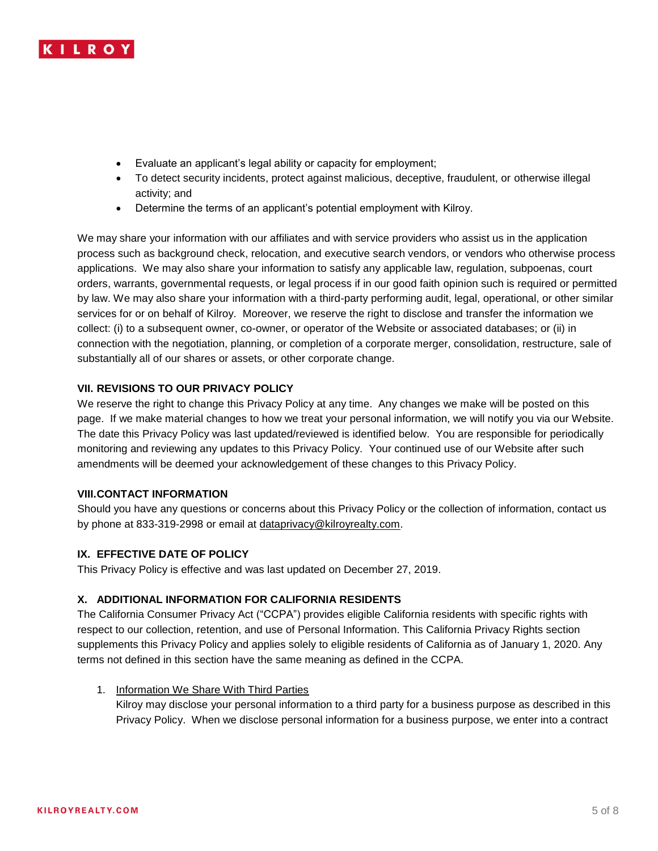

- Evaluate an applicant's legal ability or capacity for employment;
- To detect security incidents, protect against malicious, deceptive, fraudulent, or otherwise illegal activity; and
- Determine the terms of an applicant's potential employment with Kilroy.

We may share your information with our affiliates and with service providers who assist us in the application process such as background check, relocation, and executive search vendors, or vendors who otherwise process applications. We may also share your information to satisfy any applicable law, regulation, subpoenas, court orders, warrants, governmental requests, or legal process if in our good faith opinion such is required or permitted by law. We may also share your information with a third-party performing audit, legal, operational, or other similar services for or on behalf of Kilroy. Moreover, we reserve the right to disclose and transfer the information we collect: (i) to a subsequent owner, co-owner, or operator of the Website or associated databases; or (ii) in connection with the negotiation, planning, or completion of a corporate merger, consolidation, restructure, sale of substantially all of our shares or assets, or other corporate change.

### **VII. REVISIONS TO OUR PRIVACY POLICY**

We reserve the right to change this Privacy Policy at any time. Any changes we make will be posted on this page. If we make material changes to how we treat your personal information, we will notify you via our Website. The date this Privacy Policy was last updated/reviewed is identified below. You are responsible for periodically monitoring and reviewing any updates to this Privacy Policy. Your continued use of our Website after such amendments will be deemed your acknowledgement of these changes to this Privacy Policy.

### **VIII.CONTACT INFORMATION**

Should you have any questions or concerns about this Privacy Policy or the collection of information, contact us by phone at 833-319-2998 or email at [dataprivacy@kilroyrealty.com.](mailto:dataprivacy@kilroyrealty.com)

### **IX. EFFECTIVE DATE OF POLICY**

This Privacy Policy is effective and was last updated on December 27, 2019.

# **X. ADDITIONAL INFORMATION FOR CALIFORNIA RESIDENTS**

The California Consumer Privacy Act ("CCPA") provides eligible California residents with specific rights with respect to our collection, retention, and use of Personal Information. This California Privacy Rights section supplements this Privacy Policy and applies solely to eligible residents of California as of January 1, 2020. Any terms not defined in this section have the same meaning as defined in the CCPA.

### 1. Information We Share With Third Parties

Kilroy may disclose your personal information to a third party for a business purpose as described in this Privacy Policy. When we disclose personal information for a business purpose, we enter into a contract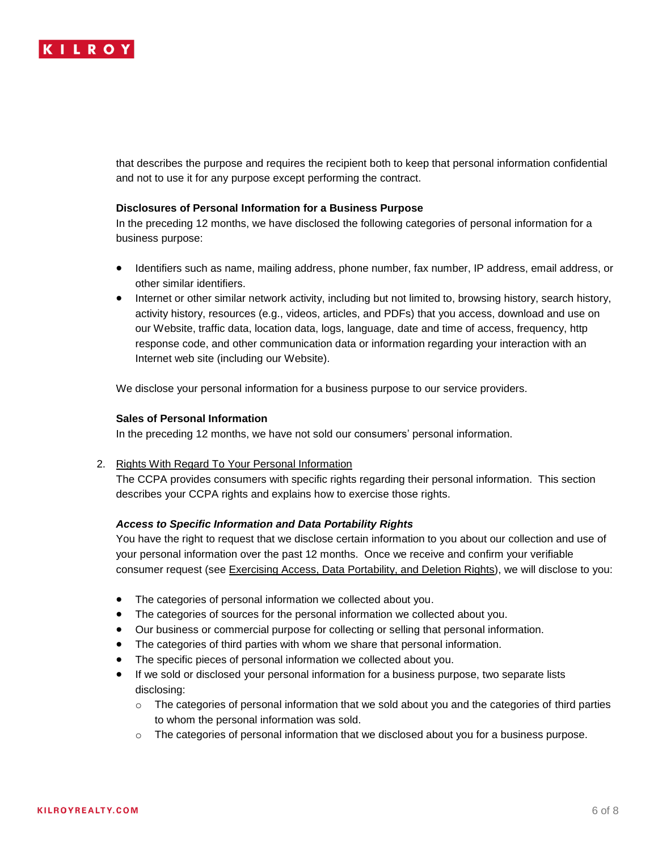

that describes the purpose and requires the recipient both to keep that personal information confidential and not to use it for any purpose except performing the contract.

#### **Disclosures of Personal Information for a Business Purpose**

In the preceding 12 months, we have disclosed the following categories of personal information for a business purpose:

- Identifiers such as name, mailing address, phone number, fax number, IP address, email address, or other similar identifiers.
- Internet or other similar network activity, including but not limited to, browsing history, search history, activity history, resources (e.g., videos, articles, and PDFs) that you access, download and use on our Website, traffic data, location data, logs, language, date and time of access, frequency, http response code, and other communication data or information regarding your interaction with an Internet web site (including our Website).

We disclose your personal information for a business purpose to our service providers.

#### **Sales of Personal Information**

In the preceding 12 months, we have not sold our consumers' personal information.

### 2. Rights With Regard To Your Personal Information

The CCPA provides consumers with specific rights regarding their personal information. This section describes your CCPA rights and explains how to exercise those rights.

#### *Access to Specific Information and Data Portability Rights*

You have the right to request that we disclose certain information to you about our collection and use of your personal information over the past 12 months. Once we receive and confirm your verifiable consumer request (see Exercising Access, Data Portability, and Deletion Rights), we will disclose to you:

- The categories of personal information we collected about you.
- The categories of sources for the personal information we collected about you.
- Our business or commercial purpose for collecting or selling that personal information.
- The categories of third parties with whom we share that personal information.
- The specific pieces of personal information we collected about you.
- If we sold or disclosed your personal information for a business purpose, two separate lists disclosing:
	- $\circ$  The categories of personal information that we sold about you and the categories of third parties to whom the personal information was sold.
	- $\circ$  The categories of personal information that we disclosed about you for a business purpose.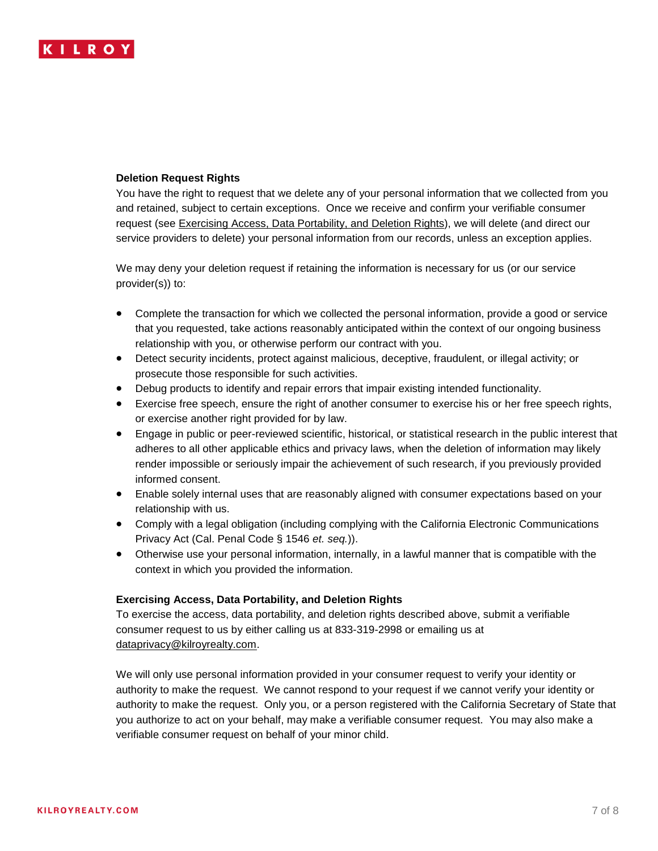

### **Deletion Request Rights**

You have the right to request that we delete any of your personal information that we collected from you and retained, subject to certain exceptions. Once we receive and confirm your verifiable consumer request (see Exercising Access, Data Portability, and Deletion Rights), we will delete (and direct our service providers to delete) your personal information from our records, unless an exception applies.

We may deny your deletion request if retaining the information is necessary for us (or our service provider(s)) to:

- Complete the transaction for which we collected the personal information, provide a good or service that you requested, take actions reasonably anticipated within the context of our ongoing business relationship with you, or otherwise perform our contract with you.
- Detect security incidents, protect against malicious, deceptive, fraudulent, or illegal activity; or prosecute those responsible for such activities.
- Debug products to identify and repair errors that impair existing intended functionality.
- Exercise free speech, ensure the right of another consumer to exercise his or her free speech rights, or exercise another right provided for by law.
- Engage in public or peer-reviewed scientific, historical, or statistical research in the public interest that adheres to all other applicable ethics and privacy laws, when the deletion of information may likely render impossible or seriously impair the achievement of such research, if you previously provided informed consent.
- Enable solely internal uses that are reasonably aligned with consumer expectations based on your relationship with us.
- Comply with a legal obligation (including complying with the California Electronic Communications Privacy Act (Cal. Penal Code § 1546 *et. seq.*)).
- Otherwise use your personal information, internally, in a lawful manner that is compatible with the context in which you provided the information.

### **Exercising Access, Data Portability, and Deletion Rights**

To exercise the access, data portability, and deletion rights described above, submit a verifiable consumer request to us by either calling us at 833-319-2998 or emailing us at [dataprivacy@kilroyrealty.com.](mailto:dataprivacy@kilroyrealty.com)

We will only use personal information provided in your consumer request to verify your identity or authority to make the request. We cannot respond to your request if we cannot verify your identity or authority to make the request. Only you, or a person registered with the California Secretary of State that you authorize to act on your behalf, may make a verifiable consumer request. You may also make a verifiable consumer request on behalf of your minor child.